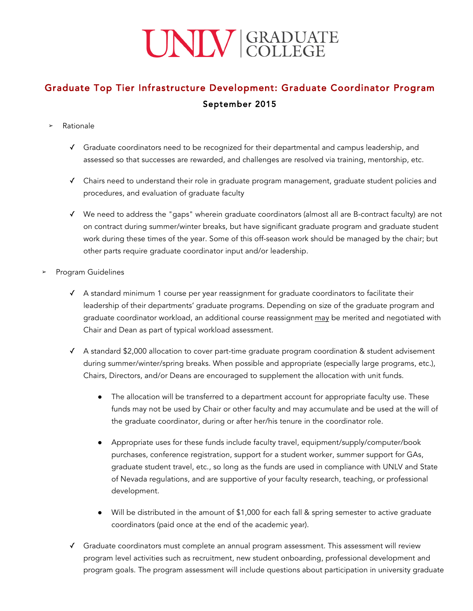# UNIV GRADUATE

## Graduate Top Tier Infrastructure Development: Graduate Coordinator Program September 2015

- **➢** Rationale
	- ✓ Graduate coordinators need to be recognized for their departmental and campus leadership, and assessed so that successes are rewarded, and challenges are resolved via training, mentorship, etc.
	- ✓ Chairs need to understand their role in graduate program management, graduate student policies and procedures, and evaluation of graduate faculty
	- ✓ We need to address the "gaps" wherein graduate coordinators (almost all are B-contract faculty) are not on contract during summer/winter breaks, but have significant graduate program and graduate student work during these times of the year. Some of this off-season work should be managed by the chair; but other parts require graduate coordinator input and/or leadership.
- **➢** Program Guidelines
	- ✓ A standard minimum 1 course per year reassignment for graduate coordinators to facilitate their leadership of their departments' graduate programs. Depending on size of the graduate program and graduate coordinator workload, an additional course reassignment may be merited and negotiated with Chair and Dean as part of typical workload assessment.
	- ✓ A standard \$2,000 allocation to cover part-time graduate program coordination & student advisement during summer/winter/spring breaks. When possible and appropriate (especially large programs, etc.), Chairs, Directors, and/or Deans are encouraged to supplement the allocation with unit funds.
		- The allocation will be transferred to a department account for appropriate faculty use. These funds may not be used by Chair or other faculty and may accumulate and be used at the will of the graduate coordinator, during or after her/his tenure in the coordinator role.
		- Appropriate uses for these funds include faculty travel, equipment/supply/computer/book purchases, conference registration, support for a student worker, summer support for GAs, graduate student travel, etc., so long as the funds are used in compliance with UNLV and State of Nevada regulations, and are supportive of your faculty research, teaching, or professional development.
		- Will be distributed in the amount of \$1,000 for each fall & spring semester to active graduate coordinators (paid once at the end of the academic year).
	- ✓ Graduate coordinators must complete an annual program assessment. This assessment will review program level activities such as recruitment, new student onboarding, professional development and program goals. The program assessment will include questions about participation in university graduate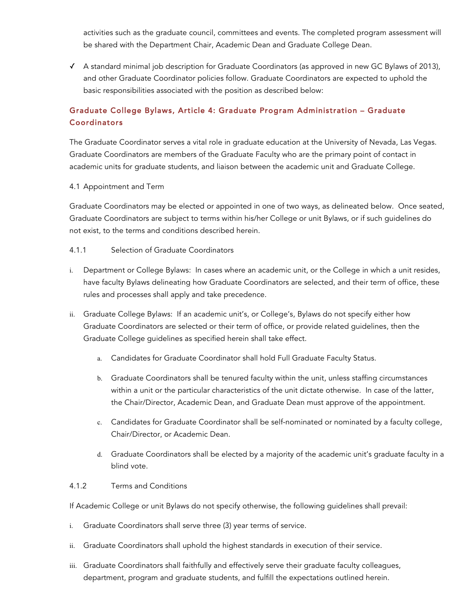activities such as the graduate council, committees and events. The completed program assessment will be shared with the Department Chair, Academic Dean and Graduate College Dean.

✓ A standard minimal job description for Graduate Coordinators (as approved in new GC Bylaws of 2013), and other Graduate Coordinator policies follow. Graduate Coordinators are expected to uphold the basic responsibilities associated with the position as described below:

### Graduate College Bylaws, Article 4: Graduate Program Administration – Graduate **Coordinators**

The Graduate Coordinator serves a vital role in graduate education at the University of Nevada, Las Vegas. Graduate Coordinators are members of the Graduate Faculty who are the primary point of contact in academic units for graduate students, and liaison between the academic unit and Graduate College.

#### 4.1 Appointment and Term

Graduate Coordinators may be elected or appointed in one of two ways, as delineated below. Once seated, Graduate Coordinators are subject to terms within his/her College or unit Bylaws, or if such guidelines do not exist, to the terms and conditions described herein.

#### 4.1.1 Selection of Graduate Coordinators

- i. Department or College Bylaws: In cases where an academic unit, or the College in which a unit resides, have faculty Bylaws delineating how Graduate Coordinators are selected, and their term of office, these rules and processes shall apply and take precedence.
- ii. Graduate College Bylaws: If an academic unit's, or College's, Bylaws do not specify either how Graduate Coordinators are selected or their term of office, or provide related guidelines, then the Graduate College guidelines as specified herein shall take effect.
	- a. Candidates for Graduate Coordinator shall hold Full Graduate Faculty Status.
	- b. Graduate Coordinators shall be tenured faculty within the unit, unless staffing circumstances within a unit or the particular characteristics of the unit dictate otherwise. In case of the latter, the Chair/Director, Academic Dean, and Graduate Dean must approve of the appointment.
	- c. Candidates for Graduate Coordinator shall be self-nominated or nominated by a faculty college, Chair/Director, or Academic Dean.
	- d. Graduate Coordinators shall be elected by a majority of the academic unit's graduate faculty in a blind vote.

#### 4.1.2 Terms and Conditions

If Academic College or unit Bylaws do not specify otherwise, the following guidelines shall prevail:

- i. Graduate Coordinators shall serve three (3) year terms of service.
- ii. Graduate Coordinators shall uphold the highest standards in execution of their service.
- iii. Graduate Coordinators shall faithfully and effectively serve their graduate faculty colleagues, department, program and graduate students, and fulfill the expectations outlined herein.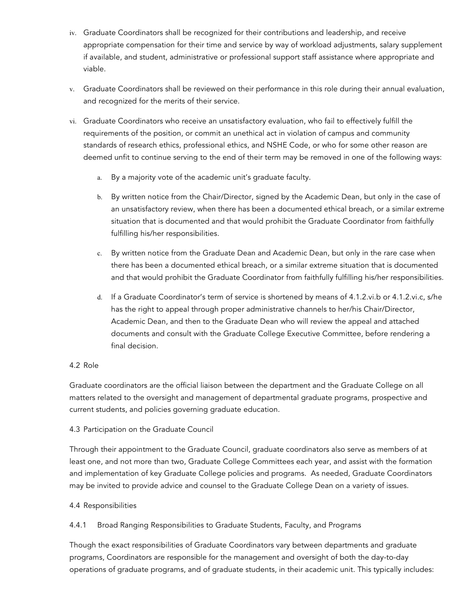- iv. Graduate Coordinators shall be recognized for their contributions and leadership, and receive appropriate compensation for their time and service by way of workload adjustments, salary supplement if available, and student, administrative or professional support staff assistance where appropriate and viable.
- v. Graduate Coordinators shall be reviewed on their performance in this role during their annual evaluation, and recognized for the merits of their service.
- vi. Graduate Coordinators who receive an unsatisfactory evaluation, who fail to effectively fulfill the requirements of the position, or commit an unethical act in violation of campus and community standards of research ethics, professional ethics, and NSHE Code, or who for some other reason are deemed unfit to continue serving to the end of their term may be removed in one of the following ways:
	- a. By a majority vote of the academic unit's graduate faculty.
	- b. By written notice from the Chair/Director, signed by the Academic Dean, but only in the case of an unsatisfactory review, when there has been a documented ethical breach, or a similar extreme situation that is documented and that would prohibit the Graduate Coordinator from faithfully fulfilling his/her responsibilities.
	- c. By written notice from the Graduate Dean and Academic Dean, but only in the rare case when there has been a documented ethical breach, or a similar extreme situation that is documented and that would prohibit the Graduate Coordinator from faithfully fulfilling his/her responsibilities.
	- d. If a Graduate Coordinator's term of service is shortened by means of 4.1.2.vi.b or 4.1.2.vi.c, s/he has the right to appeal through proper administrative channels to her/his Chair/Director, Academic Dean, and then to the Graduate Dean who will review the appeal and attached documents and consult with the Graduate College Executive Committee, before rendering a final decision.

#### 4.2 Role

Graduate coordinators are the official liaison between the department and the Graduate College on all matters related to the oversight and management of departmental graduate programs, prospective and current students, and policies governing graduate education.

#### 4.3 Participation on the Graduate Council

Through their appointment to the Graduate Council, graduate coordinators also serve as members of at least one, and not more than two, Graduate College Committees each year, and assist with the formation and implementation of key Graduate College policies and programs. As needed, Graduate Coordinators may be invited to provide advice and counsel to the Graduate College Dean on a variety of issues.

#### 4.4 Responsibilities

4.4.1 Broad Ranging Responsibilities to Graduate Students, Faculty, and Programs

Though the exact responsibilities of Graduate Coordinators vary between departments and graduate programs, Coordinators are responsible for the management and oversight of both the day-to-day operations of graduate programs, and of graduate students, in their academic unit. This typically includes: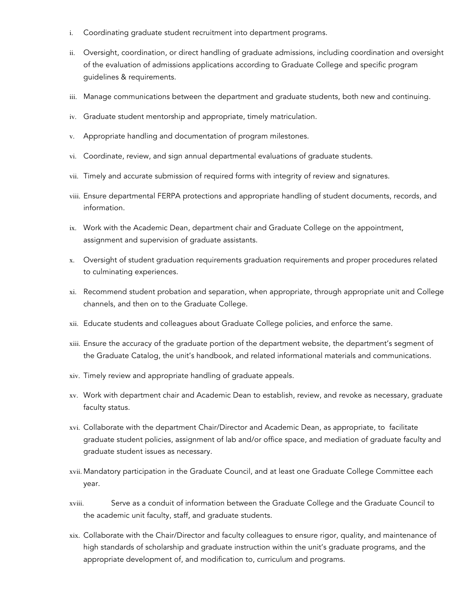- i. Coordinating graduate student recruitment into department programs.
- ii. Oversight, coordination, or direct handling of graduate admissions, including coordination and oversight of the evaluation of admissions applications according to Graduate College and specific program guidelines & requirements.
- iii. Manage communications between the department and graduate students, both new and continuing.
- iv. Graduate student mentorship and appropriate, timely matriculation.
- v. Appropriate handling and documentation of program milestones.
- vi. Coordinate, review, and sign annual departmental evaluations of graduate students.
- vii. Timely and accurate submission of required forms with integrity of review and signatures.
- viii. Ensure departmental FERPA protections and appropriate handling of student documents, records, and information.
- ix. Work with the Academic Dean, department chair and Graduate College on the appointment, assignment and supervision of graduate assistants.
- x. Oversight of student graduation requirements graduation requirements and proper procedures related to culminating experiences.
- xi. Recommend student probation and separation, when appropriate, through appropriate unit and College channels, and then on to the Graduate College.
- xii. Educate students and colleagues about Graduate College policies, and enforce the same.
- xiii. Ensure the accuracy of the graduate portion of the department website, the department's segment of the Graduate Catalog, the unit's handbook, and related informational materials and communications.
- xiv. Timely review and appropriate handling of graduate appeals.
- xv. Work with department chair and Academic Dean to establish, review, and revoke as necessary, graduate faculty status.
- xvi. Collaborate with the department Chair/Director and Academic Dean, as appropriate, to facilitate graduate student policies, assignment of lab and/or office space, and mediation of graduate faculty and graduate student issues as necessary.
- xvii. Mandatory participation in the Graduate Council, and at least one Graduate College Committee each year.
- xviii. Serve as a conduit of information between the Graduate College and the Graduate Council to the academic unit faculty, staff, and graduate students.
- xix. Collaborate with the Chair/Director and faculty colleagues to ensure rigor, quality, and maintenance of high standards of scholarship and graduate instruction within the unit's graduate programs, and the appropriate development of, and modification to, curriculum and programs.